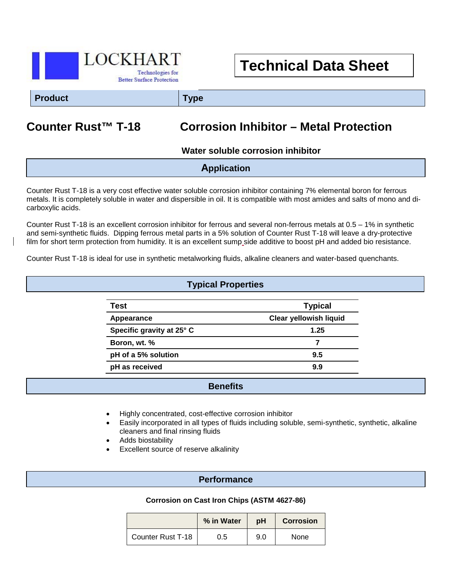

# **Technical Data Sheet**

**Product Type**

# **Counter Rust™ T-18 Corrosion Inhibitor – Metal Protection**

 **Water soluble corrosion inhibitor**

| <b>Application</b> |  |
|--------------------|--|
|                    |  |

Counter Rust T-18 is a very cost effective water soluble corrosion inhibitor containing 7% elemental boron for ferrous metals. It is completely soluble in water and dispersible in oil. It is compatible with most amides and salts of mono and dicarboxylic acids.

Counter Rust T-18 is an excellent corrosion inhibitor for ferrous and several non-ferrous metals at 0.5 – 1% in synthetic and semi-synthetic fluids. Dipping ferrous metal parts in a 5% solution of Counter Rust T-18 will leave a dry-protective film for short term protection from humidity. It is an excellent sump side additive to boost pH and added bio resistance.

Counter Rust T-18 is ideal for use in synthetic metalworking fluids, alkaline cleaners and water-based quenchants.

| <b>Typical Properties</b> |                               |  |  |  |
|---------------------------|-------------------------------|--|--|--|
| Test                      | <b>Typical</b>                |  |  |  |
| Appearance                | <b>Clear yellowish liquid</b> |  |  |  |
| Specific gravity at 25° C | 1.25                          |  |  |  |
| Boron, wt. %              |                               |  |  |  |
| pH of a 5% solution       | 9.5                           |  |  |  |
| pH as received            | 9.9                           |  |  |  |

## **Benefits**

- Highly concentrated, cost-effective corrosion inhibitor
- Easily incorporated in all types of fluids including soluble, semi-synthetic, synthetic, alkaline cleaners and final rinsing fluids
- Adds biostability
- Excellent source of reserve alkalinity

### **Performance**

#### **Corrosion on Cast Iron Chips (ASTM 4627-86)**

|                   | % in Water | юH  | <b>Corrosion</b> |
|-------------------|------------|-----|------------------|
| Counter Rust T-18 | 0.5        | 9.0 | None             |